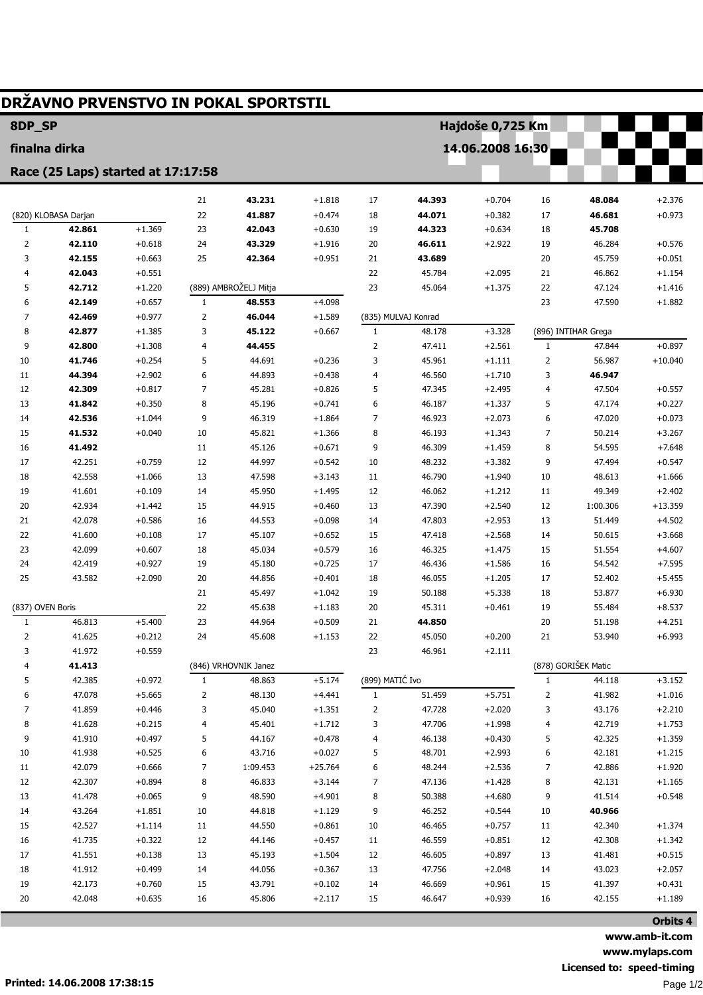| DRŽAVNO PRVENSTVO IN POKAL SPORTSTIL |                                    |                      |                      |                       |                       |                 |                     |                      |                     |                     |                      |  |
|--------------------------------------|------------------------------------|----------------------|----------------------|-----------------------|-----------------------|-----------------|---------------------|----------------------|---------------------|---------------------|----------------------|--|
| 8DP_SP                               |                                    |                      |                      |                       |                       |                 | Hajdoše 0,725 Km    |                      |                     |                     |                      |  |
| finalna dirka                        |                                    |                      | 14.06.2008 16:30     |                       |                       |                 |                     |                      |                     |                     |                      |  |
|                                      | Race (25 Laps) started at 17:17:58 |                      |                      |                       |                       |                 |                     |                      |                     |                     |                      |  |
|                                      |                                    |                      | 21                   | 43.231                | $+1.818$              | 17              | 44.393              | $+0.704$             | 16                  | 48.084              | $+2.376$             |  |
|                                      | (820) KLOBASA Darjan               |                      | 22                   | 41.887                | $+0.474$              | 18              | 44.071              | $+0.382$             | 17                  | 46.681              | $+0.973$             |  |
| 1                                    | 42.861                             | $+1.369$             | 23                   | 42.043                | $+0.630$              | 19              | 44.323              | $+0.634$             | 18                  | 45.708              |                      |  |
| 2                                    | 42.110                             | $+0.618$             | 24                   | 43.329                | $+1.916$              | 20              | 46.611              | $+2.922$             | 19                  | 46.284              | $+0.576$             |  |
| 3                                    | 42.155                             | $+0.663$             | 25                   | 42.364                | $+0.951$              | 21              | 43.689              |                      | 20                  | 45.759              | $+0.051$             |  |
| 4                                    | 42.043                             | $+0.551$             |                      |                       |                       | 22              | 45.784              | $+2.095$             | 21                  | 46.862              | $+1.154$             |  |
| 5                                    | 42.712                             | $+1.220$             |                      | (889) AMBROŽELJ Mitja |                       | 23              | 45.064              | $+1.375$             | 22                  | 47.124              | $+1.416$             |  |
| 6                                    | 42.149                             | $+0.657$             | $\mathbf{1}$         | 48.553                | $+4.098$              |                 |                     |                      | 23                  | 47.590              | $+1.882$             |  |
| 7                                    | 42.469                             | $+0.977$             | $\overline{2}$       | 46.044                | $+1.589$              |                 | (835) MULVAJ Konrad |                      |                     |                     |                      |  |
| 8                                    | 42.877                             | $+1.385$             | 3                    | 45.122                | $+0.667$              | $\mathbf{1}$    | 48.178              | $+3.328$             |                     | (896) INTIHAR Grega |                      |  |
| 9                                    | 42.800                             | $+1.308$             | 4                    | 44.455                |                       | 2               | 47.411              | $+2.561$             | 1                   | 47.844              | $+0.897$             |  |
| 10                                   | 41.746                             | $+0.254$             | 5                    | 44.691                | $+0.236$              | 3               | 45.961              | $+1.111$             | 2                   | 56.987              | $+10.040$            |  |
| 11                                   | 44.394                             | $+2.902$             | 6                    | 44.893                | $+0.438$              | 4               | 46.560              | $+1.710$             | 3                   | 46.947              |                      |  |
| 12                                   | 42.309                             | $+0.817$             | $\overline{7}$       | 45.281                | $+0.826$              | 5               | 47.345              | $+2.495$             | 4                   | 47.504              | $+0.557$             |  |
| 13                                   | 41.842                             | $+0.350$             | 8                    | 45.196                | $+0.741$              | 6               | 46.187              | $+1.337$             | 5                   | 47.174              | $+0.227$             |  |
| 14                                   | 42.536                             | $+1.044$             | 9                    | 46.319                | $+1.864$              | 7               | 46.923              | $+2.073$             | 6                   | 47.020              | $+0.073$             |  |
| 15                                   | 41.532                             | $+0.040$             | 10                   | 45.821                | $+1.366$              | 8               | 46.193              | $+1.343$             | 7                   | 50.214              | $+3.267$             |  |
| 16                                   | 41.492                             |                      | 11                   | 45.126                | $+0.671$              | 9               | 46.309              | $+1.459$             | 8                   | 54.595              | $+7.648$             |  |
| 17                                   | 42.251                             | $+0.759$             | 12                   | 44.997                | $+0.542$              | 10              | 48.232              | $+3.382$             | 9                   | 47.494              | $+0.547$             |  |
| 18                                   | 42.558                             | $+1.066$             | 13                   | 47.598                | $+3.143$              | 11              | 46.790              | $+1.940$             | 10                  | 48.613              | $+1.666$             |  |
| 19                                   | 41.601                             | $+0.109$             | 14                   | 45.950                | $+1.495$              | 12              | 46.062              | $+1.212$             | 11                  | 49.349              | $+2.402$             |  |
| 20                                   | 42.934                             | $+1.442$             | 15                   | 44.915                | $+0.460$              | 13              | 47.390              | $+2.540$             | 12                  | 1:00.306            | $+13.359$            |  |
| 21                                   | 42.078                             | $+0.586$             | 16                   | 44.553                | $+0.098$              | 14              | 47.803              | $+2.953$             | 13                  | 51.449              | $+4.502$             |  |
| 22                                   | 41.600                             | $+0.108$             | 17                   | 45.107                | $+0.652$              | 15              | 47.418              | $+2.568$             | 14                  | 50.615              | $+3.668$             |  |
| 23                                   | 42.099                             | $+0.607$             | 18                   | 45.034                | $+0.579$              | 16              | 46.325              | $+1.475$             | 15                  | 51.554              | $+4.607$             |  |
| 24                                   | 42.419                             | $+0.927$             | 19                   | 45.180                | $+0.725$              | 17              | 46.436              | $+1.586$             | 16                  | 54.542              | $+7.595$             |  |
| 25                                   | 43.582                             | $+2.090$             | 20                   | 44.856                | $+0.401$              | 18              | 46.055              | $+1.205$             | 17                  | 52.402              | $+5.455$             |  |
|                                      |                                    |                      | 21                   | 45.497                | $+1.042$              | 19              | 50.188              | $+5.338$             | 18                  | 53.877              | $+6.930$             |  |
| (837) OVEN Boris                     |                                    |                      | 22                   | 45.638                | $+1.183$              | 20              | 45.311              | $+0.461$             | 19                  | 55.484              | $+8.537$             |  |
| 1                                    | 46.813                             | +5.400               | 23                   | 44.964                | $+0.509$              | 21              | 44.850              |                      | 20                  | 51.198              | +4.251               |  |
| 2                                    | 41.625                             | $+0.212$             | 24                   | 45.608                | $+1.153$              | 22              | 45.050              | $+0.200$             | 21                  | 53.940              | $+6.993$             |  |
| 3                                    | 41.972                             | $+0.559$             |                      |                       |                       | 23              | 46.961              | $+2.111$             |                     |                     |                      |  |
| 4                                    | 41.413                             |                      | (846) VRHOVNIK Janez |                       |                       |                 |                     |                      | (878) GORIŠEK Matic |                     |                      |  |
| 5                                    | 42.385                             | $+0.972$             | $\mathbf{1}$         | 48.863                | $+5.174$              | (899) MATIĆ Ivo |                     |                      | $1\,$               | 44.118              | $+3.152$             |  |
| 6                                    | 47.078                             | $+5.665$             | 2                    | 48.130                | $+4.441$              | $\mathbf{1}$    | 51.459              | $+5.751$             | 2                   | 41.982              | $+1.016$             |  |
| 7                                    | 41.859                             | $+0.446$             | 3                    | 45.040                | $+1.351$              | 2               | 47.728              | $+2.020$             | 3                   | 43.176              | $+2.210$             |  |
| 8                                    | 41.628                             | $+0.215$             | 4                    | 45.401                | $+1.712$              | 3               | 47.706              | $+1.998$             | 4                   | 42.719              | $+1.753$             |  |
| 9                                    | 41.910                             | $+0.497$             | 5                    | 44.167                | $+0.478$              | 4               | 46.138              | $+0.430$             | 5                   | 42.325              | $+1.359$             |  |
| 10                                   | 41.938                             | $+0.525$             | 6                    | 43.716                | $+0.027$              | 5               | 48.701              | $+2.993$             | 6                   | 42.181              | $+1.215$             |  |
| 11<br>12                             | 42.079<br>42.307                   | $+0.666$<br>$+0.894$ | 7<br>8               | 1:09.453<br>46.833    | $+25.764$<br>$+3.144$ | 6               | 48.244<br>47.136    | $+2.536$<br>$+1.428$ | 7                   | 42.886<br>42.131    | $+1.920$<br>$+1.165$ |  |
| 13                                   | 41.478                             | $+0.065$             | 9                    | 48.590                | $+4.901$              | 7<br>8          | 50.388              | $+4.680$             | 8<br>9              | 41.514              | $+0.548$             |  |
| 14                                   | 43.264                             | $+1.851$             | 10                   | 44.818                |                       |                 | 46.252              | $+0.544$             | 10                  | 40.966              |                      |  |
| 15                                   | 42.527                             | $+1.114$             | 11                   | 44.550                | $+1.129$<br>$+0.861$  | 9<br>10         | 46.465              | $+0.757$             | 11                  | 42.340              | $+1.374$             |  |
| $16\,$                               | 41.735                             | $+0.322$             | 12                   | 44.146                | $+0.457$              |                 | 46.559              | $+0.851$             | 12                  | 42.308              | $+1.342$             |  |
| 17                                   | 41.551                             | $+0.138$             | 13                   | 45.193                | $+1.504$              | 11<br>12        | 46.605              | $+0.897$             | 13                  | 41.481              | $+0.515$             |  |
| 18                                   | 41.912                             | $+0.499$             | 14                   | 44.056                | $+0.367$              | 13              | 47.756              | $+2.048$             | 14                  | 43.023              | $+2.057$             |  |
| 19                                   | 42.173                             | $+0.760$             | 15                   | 43.791                | $+0.102$              | 14              | 46.669              | $+0.961$             | 15                  | 41.397              | $+0.431$             |  |
| 20                                   | 42.048                             | $+0.635$             | 16                   | 45.806                | $+2.117$              | 15              | 46.647              | $+0.939$             | 16                  | 42.155              | $+1.189$             |  |
|                                      |                                    |                      |                      |                       |                       |                 |                     |                      |                     |                     |                      |  |
|                                      |                                    |                      |                      |                       |                       |                 |                     |                      |                     |                     | Orbits 4             |  |

www.amb-it.com www.mylaps.com Licensed to: speed-timing Page 1/2